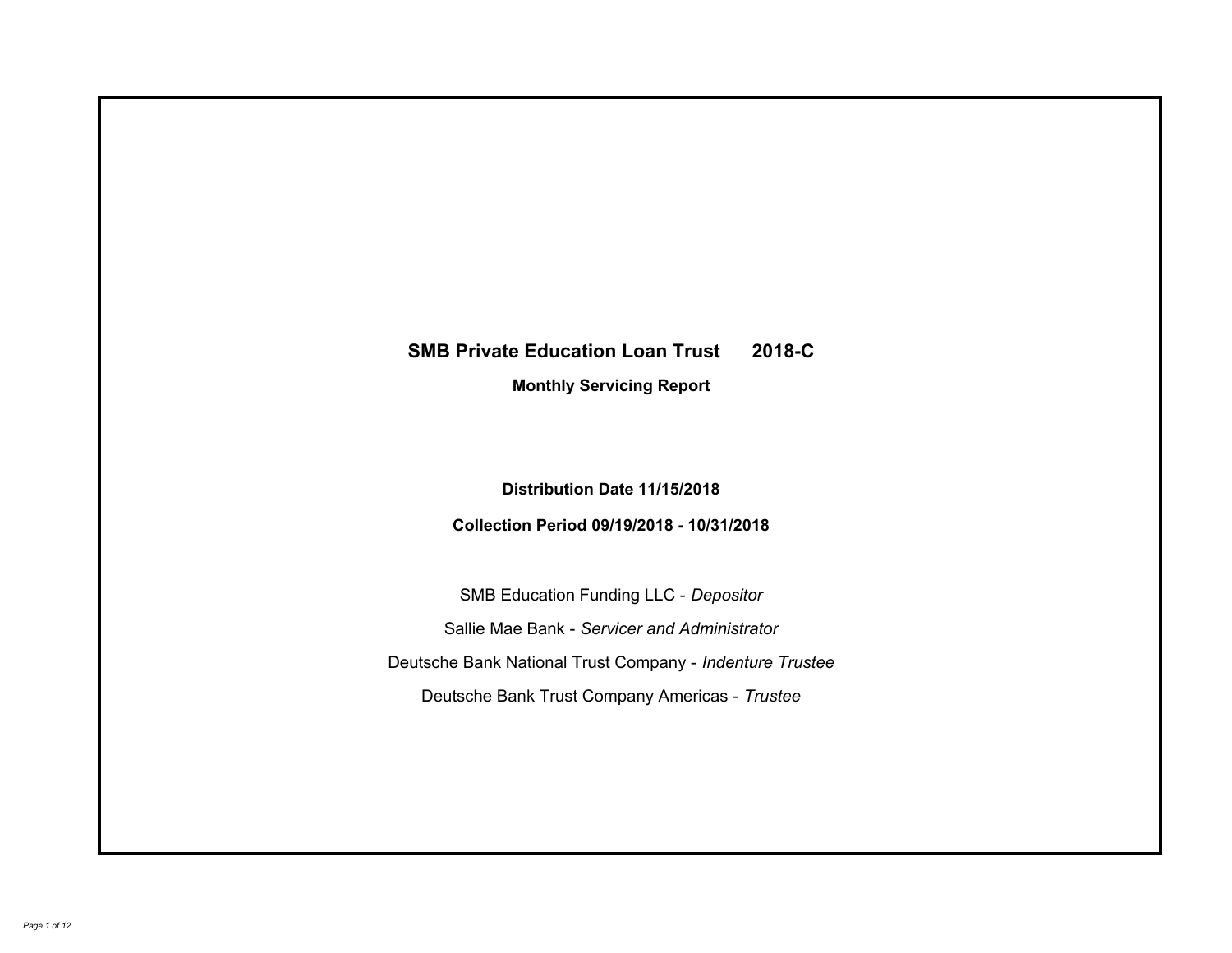# **SMB Private Education Loan Trust 2018-C Monthly Servicing Report**

# **Distribution Date 11/15/2018**

# **Collection Period 09/19/2018 - 10/31/2018**

SMB Education Funding LLC - *Depositor* Sallie Mae Bank - *Servicer and Administrator* Deutsche Bank National Trust Company - *Indenture Trustee* Deutsche Bank Trust Company Americas - *Trustee*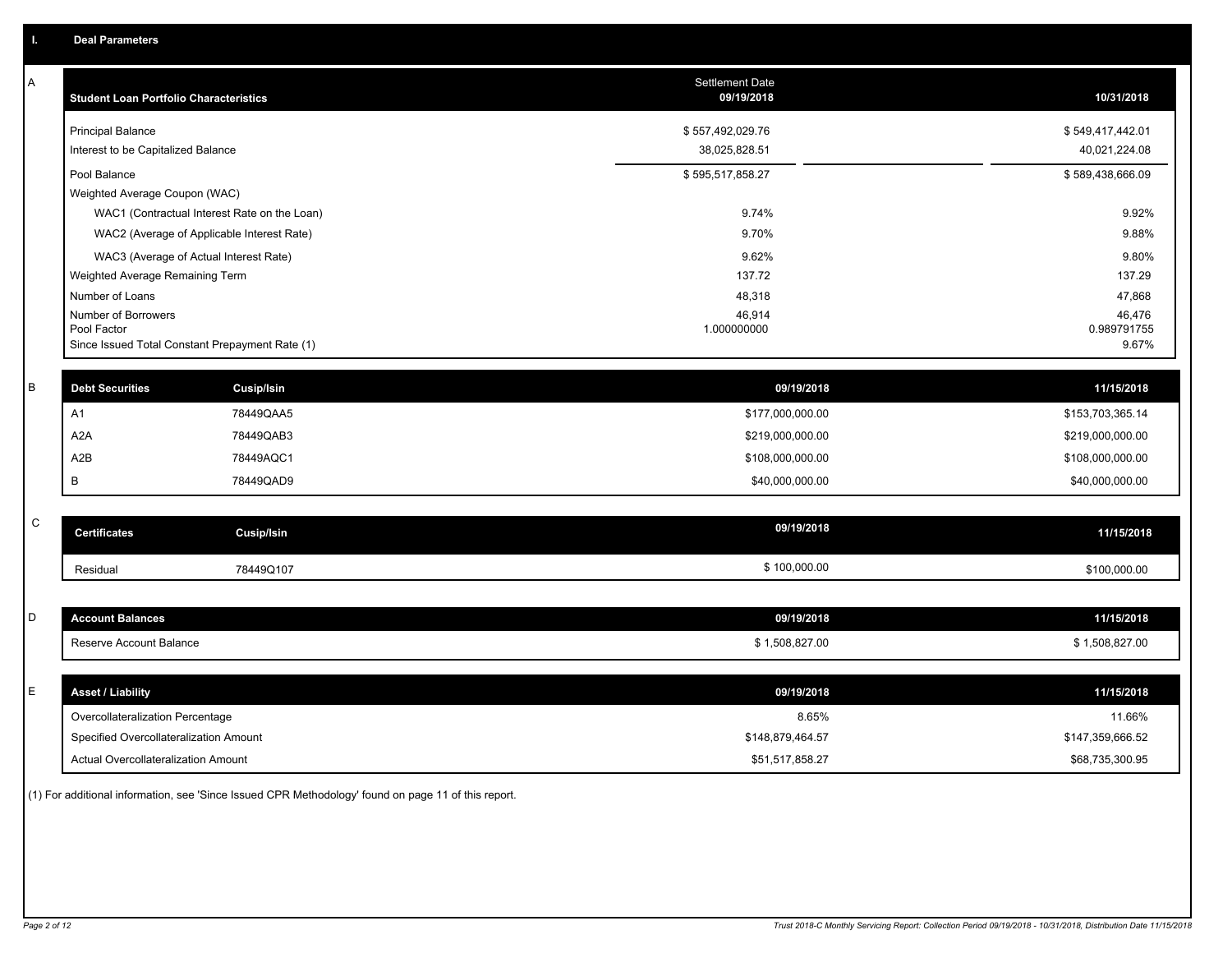| A           | <b>Student Loan Portfolio Characteristics</b>   |                                              | <b>Settlement Date</b><br>09/19/2018 | 10/31/2018            |
|-------------|-------------------------------------------------|----------------------------------------------|--------------------------------------|-----------------------|
|             | <b>Principal Balance</b>                        |                                              | \$557,492,029.76                     | \$549,417,442.01      |
|             | Interest to be Capitalized Balance              |                                              | 38,025,828.51                        | 40,021,224.08         |
|             | Pool Balance                                    |                                              | \$595,517,858.27                     | \$589,438,666.09      |
|             | Weighted Average Coupon (WAC)                   |                                              |                                      |                       |
|             |                                                 | WAC1 (Contractual Interest Rate on the Loan) | 9.74%                                | 9.92%                 |
|             |                                                 | WAC2 (Average of Applicable Interest Rate)   | 9.70%                                | 9.88%                 |
|             | WAC3 (Average of Actual Interest Rate)          |                                              | 9.62%                                | 9.80%                 |
|             | Weighted Average Remaining Term                 |                                              | 137.72                               | 137.29                |
|             | Number of Loans                                 |                                              | 48,318                               | 47,868                |
|             | Number of Borrowers<br>Pool Factor              |                                              | 46,914<br>1.000000000                | 46,476<br>0.989791755 |
|             | Since Issued Total Constant Prepayment Rate (1) |                                              |                                      | 9.67%                 |
|             |                                                 |                                              |                                      |                       |
| B           | <b>Debt Securities</b>                          | Cusip/Isin                                   | 09/19/2018                           | 11/15/2018            |
|             | A1                                              | 78449QAA5                                    | \$177,000,000.00                     | \$153,703,365.14      |
|             | A <sub>2</sub> A                                | 78449QAB3                                    | \$219,000,000.00                     | \$219,000,000.00      |
|             | A <sub>2</sub> B                                | 78449AQC1                                    | \$108,000,000.00                     | \$108,000,000.00      |
|             | B                                               | 78449QAD9                                    | \$40,000,000.00                      | \$40,000,000.00       |
|             |                                                 |                                              |                                      |                       |
| $\mathbf C$ | <b>Certificates</b>                             | <b>Cusip/Isin</b>                            | 09/19/2018                           | 11/15/2018            |
|             | Residual                                        | 78449Q107                                    | \$100,000.00                         | \$100,000.00          |
|             |                                                 |                                              |                                      |                       |
| D           | <b>Account Balances</b>                         |                                              | 09/19/2018                           | 11/15/2018            |
|             | Reserve Account Balance                         |                                              | \$1,508,827.00                       | \$1,508,827.00        |
|             |                                                 |                                              |                                      |                       |
| E           | <b>Asset / Liability</b>                        |                                              | 09/19/2018                           | 11/15/2018            |
|             | Overcollateralization Percentage                |                                              | 8.65%                                | 11.66%                |
|             | Specified Overcollateralization Amount          |                                              | \$148,879,464.57                     | \$147,359,666.52      |
|             | Actual Overcollateralization Amount             |                                              | \$51.517.858.27                      | \$68,735,300.95       |

(1) For additional information, see 'Since Issued CPR Methodology' found on page 11 of this report.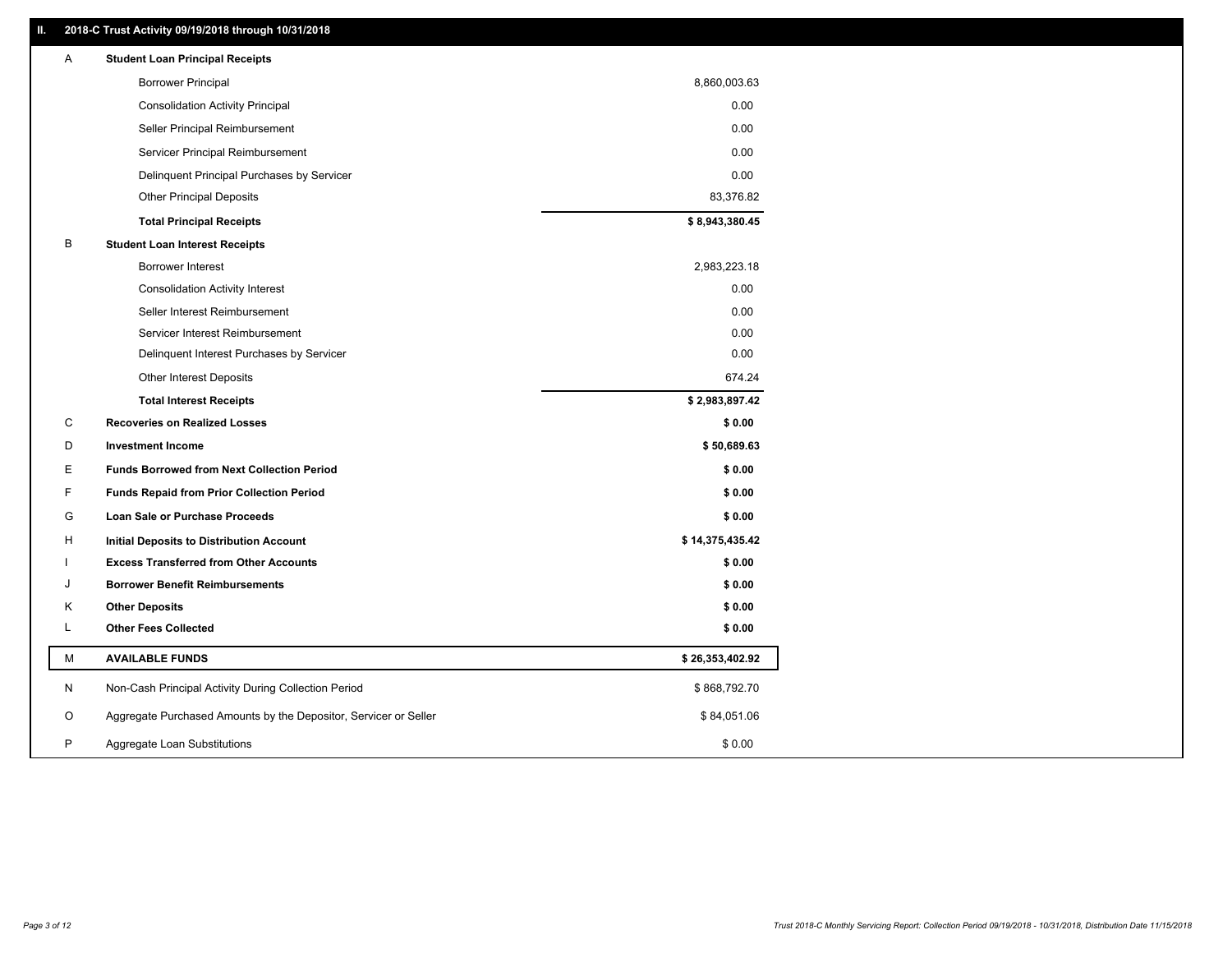### **II. 2018-C Trust Activity 09/19/2018 through 10/31/2018**

| <b>Borrower Principal</b><br>8,860,003.63<br><b>Consolidation Activity Principal</b><br>0.00<br>0.00<br>Seller Principal Reimbursement<br>0.00 |  |
|------------------------------------------------------------------------------------------------------------------------------------------------|--|
|                                                                                                                                                |  |
|                                                                                                                                                |  |
|                                                                                                                                                |  |
| Servicer Principal Reimbursement                                                                                                               |  |
| 0.00<br>Delinquent Principal Purchases by Servicer                                                                                             |  |
| <b>Other Principal Deposits</b><br>83,376.82                                                                                                   |  |
| \$8,943,380.45<br><b>Total Principal Receipts</b>                                                                                              |  |
| В<br><b>Student Loan Interest Receipts</b>                                                                                                     |  |
| <b>Borrower Interest</b><br>2,983,223.18                                                                                                       |  |
| 0.00<br><b>Consolidation Activity Interest</b>                                                                                                 |  |
| 0.00<br>Seller Interest Reimbursement                                                                                                          |  |
| Servicer Interest Reimbursement<br>0.00                                                                                                        |  |
| 0.00<br>Delinquent Interest Purchases by Servicer                                                                                              |  |
| 674.24<br><b>Other Interest Deposits</b>                                                                                                       |  |
| \$2,983,897.42<br><b>Total Interest Receipts</b>                                                                                               |  |
| C<br><b>Recoveries on Realized Losses</b><br>\$0.00                                                                                            |  |
| D<br><b>Investment Income</b><br>\$50,689.63                                                                                                   |  |
| Е<br><b>Funds Borrowed from Next Collection Period</b><br>\$0.00                                                                               |  |
| F.<br><b>Funds Repaid from Prior Collection Period</b><br>\$0.00                                                                               |  |
| G<br>\$0.00<br>Loan Sale or Purchase Proceeds                                                                                                  |  |
| \$14,375,435.42<br>H<br>Initial Deposits to Distribution Account                                                                               |  |
| \$0.00<br><b>Excess Transferred from Other Accounts</b>                                                                                        |  |
| \$0.00<br><b>Borrower Benefit Reimbursements</b><br>J                                                                                          |  |
| <b>Other Deposits</b><br>\$0.00<br>Κ                                                                                                           |  |
| Г<br><b>Other Fees Collected</b><br>\$0.00                                                                                                     |  |
| М<br><b>AVAILABLE FUNDS</b><br>\$26,353,402.92                                                                                                 |  |
| N<br>Non-Cash Principal Activity During Collection Period<br>\$868,792.70                                                                      |  |
| O<br>Aggregate Purchased Amounts by the Depositor, Servicer or Seller<br>\$84,051.06                                                           |  |
| P<br>\$0.00<br>Aggregate Loan Substitutions                                                                                                    |  |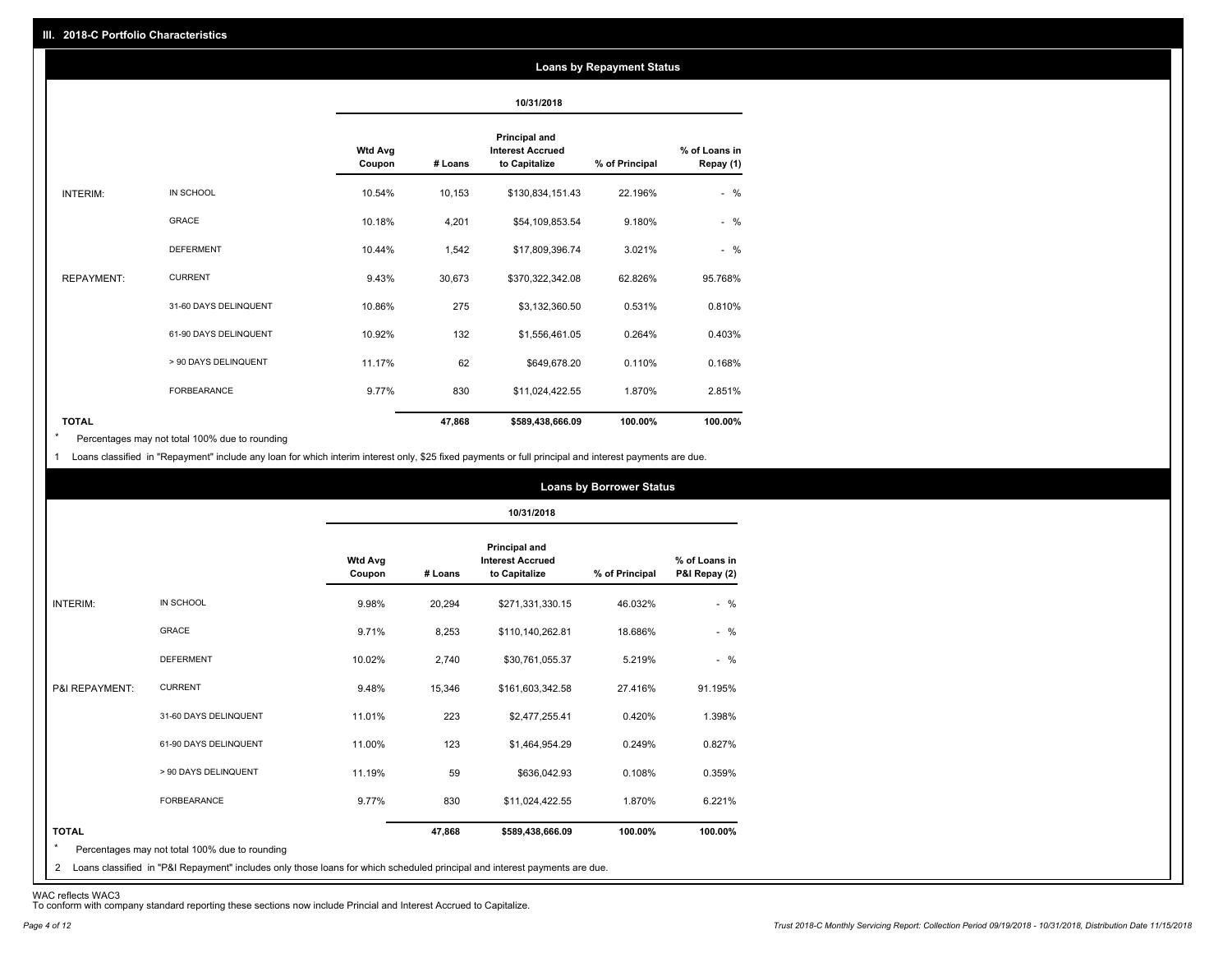#### **Loans by Repayment Status**

|                   |                       |                          |         | 10/31/2018                                                       |                |                            |
|-------------------|-----------------------|--------------------------|---------|------------------------------------------------------------------|----------------|----------------------------|
|                   |                       | <b>Wtd Avg</b><br>Coupon | # Loans | <b>Principal and</b><br><b>Interest Accrued</b><br>to Capitalize | % of Principal | % of Loans in<br>Repay (1) |
| INTERIM:          | IN SCHOOL             | 10.54%                   | 10,153  | \$130,834,151.43                                                 | 22.196%        | $-$ %                      |
|                   | <b>GRACE</b>          | 10.18%                   | 4,201   | \$54,109,853.54                                                  | 9.180%         | $-$ %                      |
|                   | <b>DEFERMENT</b>      | 10.44%                   | 1,542   | \$17,809,396.74                                                  | 3.021%         | $-$ %                      |
| <b>REPAYMENT:</b> | <b>CURRENT</b>        | 9.43%                    | 30,673  | \$370,322,342.08                                                 | 62.826%        | 95.768%                    |
|                   | 31-60 DAYS DELINQUENT | 10.86%                   | 275     | \$3,132,360.50                                                   | 0.531%         | 0.810%                     |
|                   | 61-90 DAYS DELINQUENT | 10.92%                   | 132     | \$1,556,461.05                                                   | 0.264%         | 0.403%                     |
|                   | > 90 DAYS DELINQUENT  | 11.17%                   | 62      | \$649,678.20                                                     | 0.110%         | 0.168%                     |
|                   | <b>FORBEARANCE</b>    | 9.77%                    | 830     | \$11,024,422.55                                                  | 1.870%         | 2.851%                     |
| <b>TOTAL</b>      |                       |                          | 47,868  | \$589,438,666.09                                                 | 100.00%        | 100.00%                    |

Percentages may not total 100% due to rounding \*

1 Loans classified in "Repayment" include any loan for which interim interest only, \$25 fixed payments or full principal and interest payments are due.

|                 |                       |                          | 10/31/2018 |                                                           |                |                                |  |
|-----------------|-----------------------|--------------------------|------------|-----------------------------------------------------------|----------------|--------------------------------|--|
|                 |                       | <b>Wtd Avg</b><br>Coupon | # Loans    | Principal and<br><b>Interest Accrued</b><br>to Capitalize | % of Principal | % of Loans in<br>P&I Repay (2) |  |
| <b>INTERIM:</b> | IN SCHOOL             | 9.98%                    | 20,294     | \$271,331,330.15                                          | 46.032%        | $-$ %                          |  |
|                 | <b>GRACE</b>          | 9.71%                    | 8,253      | \$110,140,262.81                                          | 18.686%        | $-$ %                          |  |
|                 | <b>DEFERMENT</b>      | 10.02%                   | 2,740      | \$30,761,055.37                                           | 5.219%         | $-$ %                          |  |
| P&I REPAYMENT:  | <b>CURRENT</b>        | 9.48%                    | 15,346     | \$161,603,342.58                                          | 27.416%        | 91.195%                        |  |
|                 | 31-60 DAYS DELINQUENT | 11.01%                   | 223        | \$2,477,255.41                                            | 0.420%         | 1.398%                         |  |
|                 | 61-90 DAYS DELINQUENT | 11.00%                   | 123        | \$1,464,954.29                                            | 0.249%         | 0.827%                         |  |
|                 | > 90 DAYS DELINQUENT  | 11.19%                   | 59         | \$636,042.93                                              | 0.108%         | 0.359%                         |  |
|                 | <b>FORBEARANCE</b>    | 9.77%                    | 830        | \$11,024,422.55                                           | 1.870%         | 6.221%                         |  |
| <b>TOTAL</b>    |                       |                          | 47,868     | \$589,438,666.09                                          | 100.00%        | 100.00%                        |  |

<sup>2</sup> Loans classified in "P&I Repayment" includes only those loans for which scheduled principal and interest payments are due.

WAC reflects WAC3 To conform with company standard reporting these sections now include Princial and Interest Accrued to Capitalize.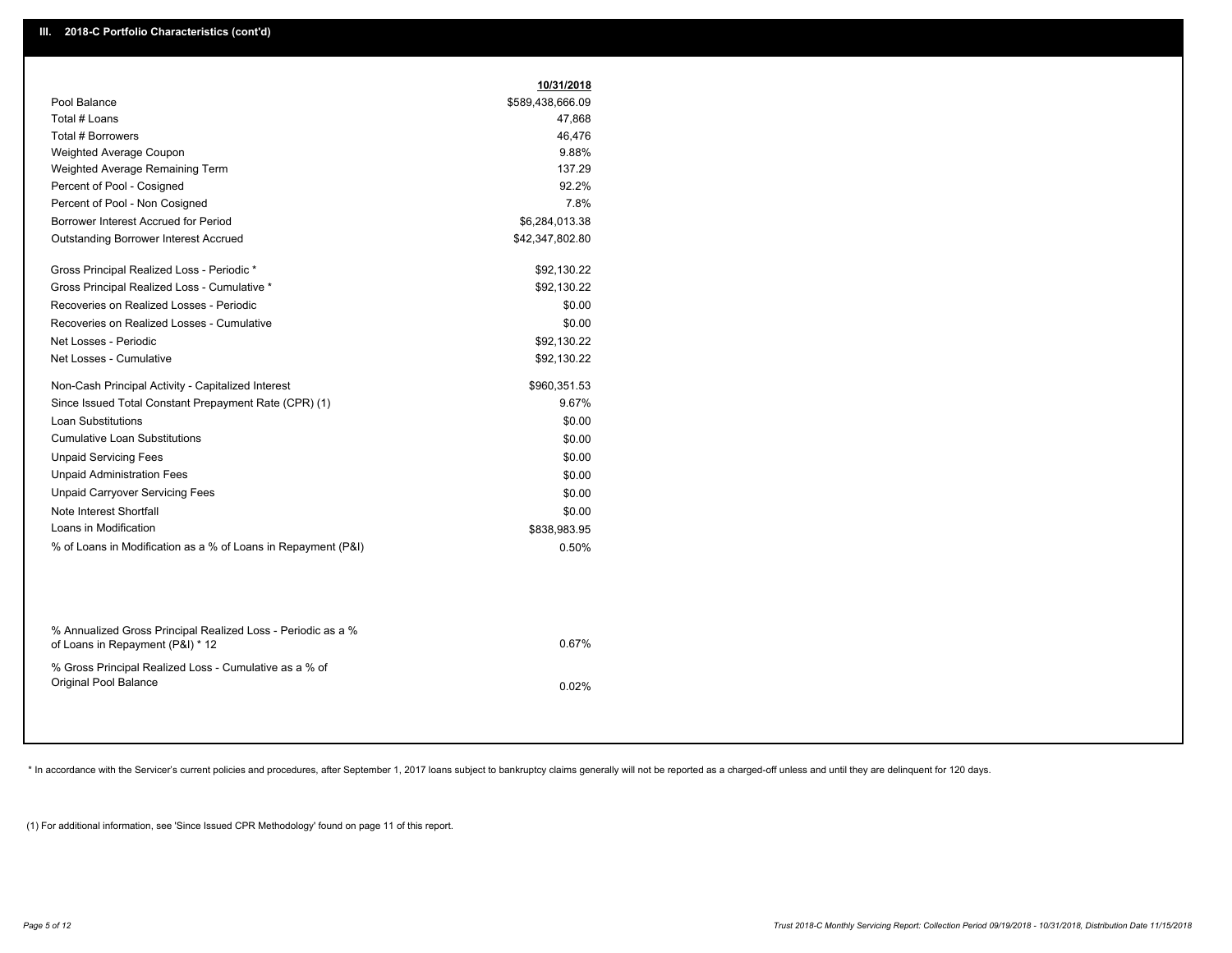| \$589,438,666.09<br>47,868<br>46,476<br>9.88%<br>137.29<br>92.2%<br>7.8%<br>\$6,284,013.38<br>\$42,347,802.80<br>\$92,130.22<br>\$92,130.22<br>\$0.00<br>\$0.00<br>\$92,130.22<br>\$92,130.22<br>\$960,351.53<br>9.67%<br>\$0.00 |
|----------------------------------------------------------------------------------------------------------------------------------------------------------------------------------------------------------------------------------|
|                                                                                                                                                                                                                                  |
|                                                                                                                                                                                                                                  |
|                                                                                                                                                                                                                                  |
|                                                                                                                                                                                                                                  |
|                                                                                                                                                                                                                                  |
|                                                                                                                                                                                                                                  |
|                                                                                                                                                                                                                                  |
|                                                                                                                                                                                                                                  |
|                                                                                                                                                                                                                                  |
|                                                                                                                                                                                                                                  |
|                                                                                                                                                                                                                                  |
|                                                                                                                                                                                                                                  |
|                                                                                                                                                                                                                                  |
|                                                                                                                                                                                                                                  |
|                                                                                                                                                                                                                                  |
|                                                                                                                                                                                                                                  |
|                                                                                                                                                                                                                                  |
|                                                                                                                                                                                                                                  |
| \$0.00                                                                                                                                                                                                                           |
| \$0.00                                                                                                                                                                                                                           |
| \$0.00                                                                                                                                                                                                                           |
| \$0.00                                                                                                                                                                                                                           |
| \$0.00                                                                                                                                                                                                                           |
| \$838,983.95                                                                                                                                                                                                                     |
| 0.50%                                                                                                                                                                                                                            |
|                                                                                                                                                                                                                                  |

| % Annualized Gross Principal Realized Loss - Periodic as a %<br>of Loans in Repayment (P&I) * 12 | 0.67% |
|--------------------------------------------------------------------------------------------------|-------|
| % Gross Principal Realized Loss - Cumulative as a % of<br>Original Pool Balance                  | 0.02% |

\* In accordance with the Servicer's current policies and procedures, after September 1, 2017 loans subject to bankruptcy claims generally will not be reported as a charged-off unless and until they are delinquent for 120 d

(1) For additional information, see 'Since Issued CPR Methodology' found on page 11 of this report.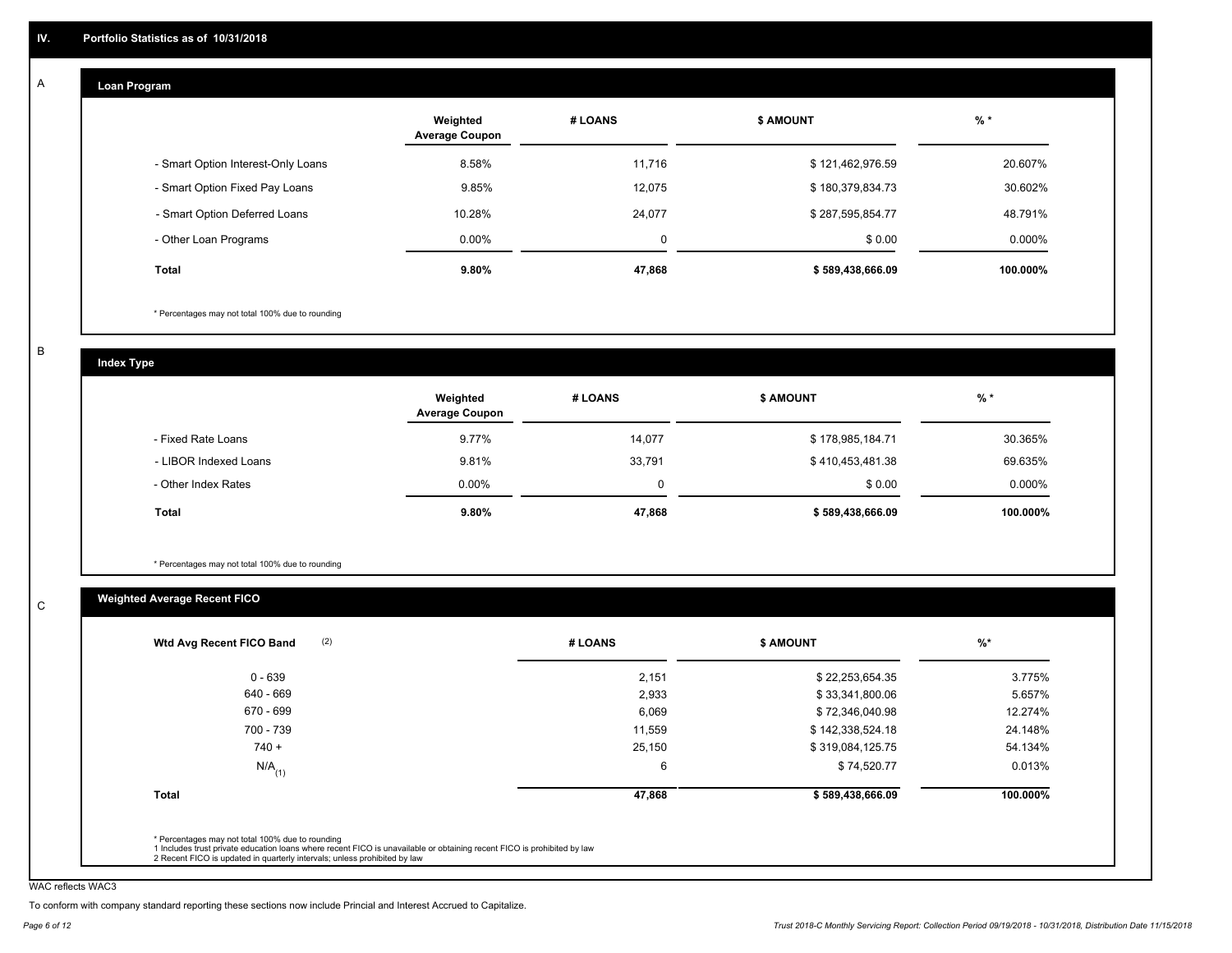#### **Loan Program**  A

|                                    | Weighted<br><b>Average Coupon</b> | # LOANS | <b>\$ AMOUNT</b> | $%$ *    |
|------------------------------------|-----------------------------------|---------|------------------|----------|
| - Smart Option Interest-Only Loans | 8.58%                             | 11,716  | \$121,462,976.59 | 20.607%  |
| - Smart Option Fixed Pay Loans     | 9.85%                             | 12,075  | \$180,379,834.73 | 30.602%  |
| - Smart Option Deferred Loans      | 10.28%                            | 24,077  | \$287,595,854.77 | 48.791%  |
| - Other Loan Programs              | $0.00\%$                          | 0       | \$0.00           | 0.000%   |
| <b>Total</b>                       | 9.80%                             | 47,868  | \$589,438,666.09 | 100.000% |

\* Percentages may not total 100% due to rounding

B

C

**Index Type**

|                       | Weighted<br><b>Average Coupon</b> | # LOANS | <b>\$ AMOUNT</b> | $%$ *    |
|-----------------------|-----------------------------------|---------|------------------|----------|
| - Fixed Rate Loans    | 9.77%                             | 14.077  | \$178,985,184.71 | 30.365%  |
| - LIBOR Indexed Loans | 9.81%                             | 33,791  | \$410,453,481.38 | 69.635%  |
| - Other Index Rates   | $0.00\%$                          | 0       | \$0.00           | 0.000%   |
| Total                 | 9.80%                             | 47,868  | \$589,438,666.09 | 100.000% |

\* Percentages may not total 100% due to rounding

### **Weighted Average Recent FICO**

|                      | # LOANS | <b>S AMOUNT</b>  | $\frac{9}{6}$ * |
|----------------------|---------|------------------|-----------------|
| $0 - 639$            | 2,151   | \$22,253,654.35  | 3.775%          |
| 640 - 669            | 2,933   | \$33,341,800.06  | 5.657%          |
| 670 - 699            | 6,069   | \$72,346,040.98  | 12.274%         |
| 700 - 739            | 11,559  | \$142,338,524.18 | 24.148%         |
| $740 +$              | 25,150  | \$319,084,125.75 | 54.134%         |
| $N/A$ <sub>(1)</sub> | 6       | \$74,520.77      | 0.013%          |
| <b>Total</b>         | 47,868  | \$589,438,666.09 | 100.000%        |

WAC reflects WAC3

To conform with company standard reporting these sections now include Princial and Interest Accrued to Capitalize.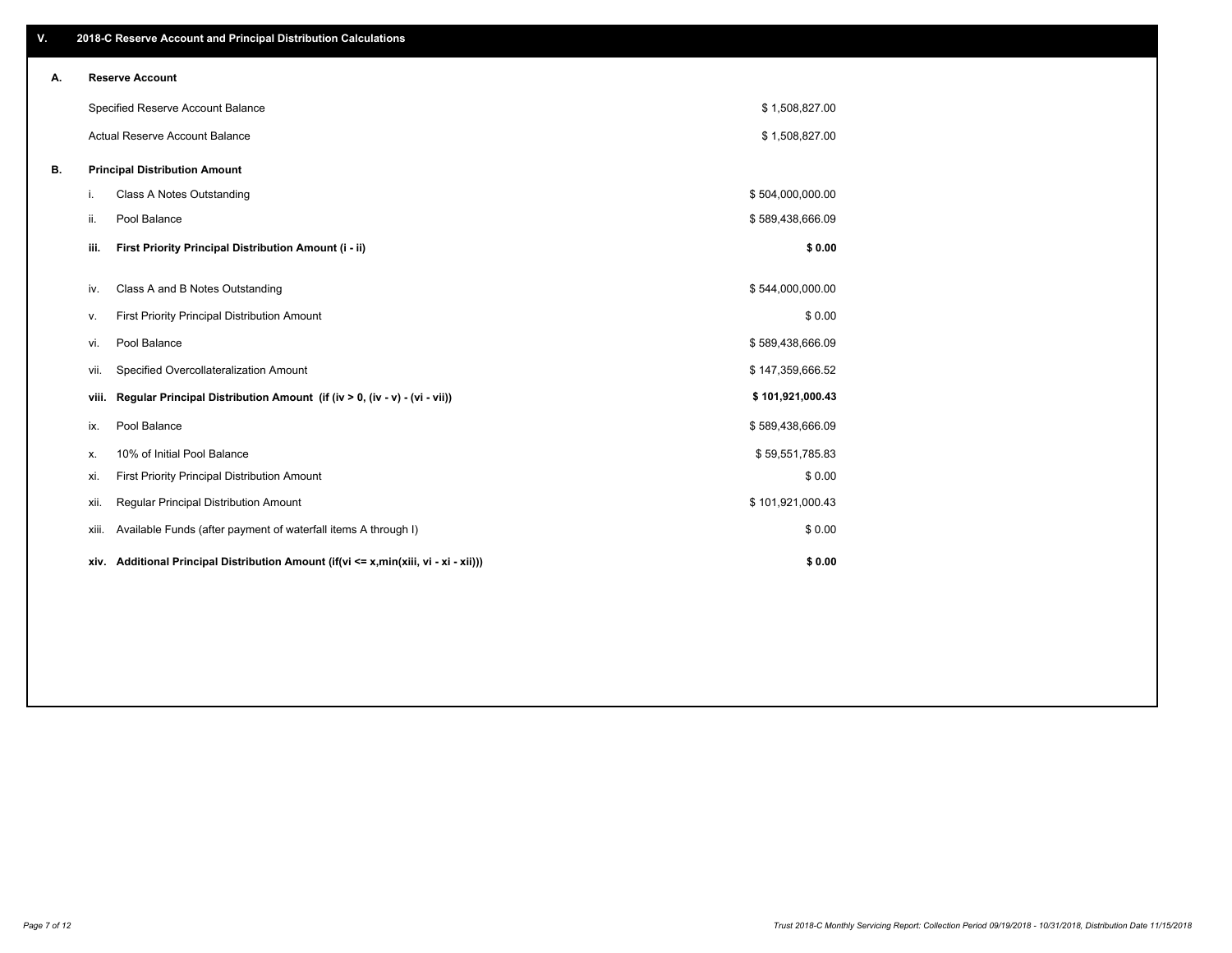| V. |       | 2018-C Reserve Account and Principal Distribution Calculations                  |                  |  |
|----|-------|---------------------------------------------------------------------------------|------------------|--|
| Α. |       | <b>Reserve Account</b>                                                          |                  |  |
|    |       | Specified Reserve Account Balance                                               | \$1,508,827.00   |  |
|    |       | Actual Reserve Account Balance                                                  | \$1,508,827.00   |  |
| В. |       | <b>Principal Distribution Amount</b>                                            |                  |  |
|    | i.    | Class A Notes Outstanding                                                       | \$504,000,000.00 |  |
|    | ii.   | Pool Balance                                                                    | \$589,438,666.09 |  |
|    | iii.  | First Priority Principal Distribution Amount (i - ii)                           | \$0.00           |  |
|    | iv.   | Class A and B Notes Outstanding                                                 | \$544,000,000.00 |  |
|    | v.    | First Priority Principal Distribution Amount                                    | \$0.00           |  |
|    | vi.   | Pool Balance                                                                    | \$589,438,666.09 |  |
|    | Vii.  | Specified Overcollateralization Amount                                          | \$147,359,666.52 |  |
|    | viii. | Regular Principal Distribution Amount (if (iv > 0, (iv - v) - (vi - vii))       | \$101,921,000.43 |  |
|    | ix.   | Pool Balance                                                                    | \$589,438,666.09 |  |
|    | х.    | 10% of Initial Pool Balance                                                     | \$59,551,785.83  |  |
|    | xi.   | First Priority Principal Distribution Amount                                    | \$0.00           |  |
|    | xii.  | Regular Principal Distribution Amount                                           | \$101,921,000.43 |  |
|    | xiii. | Available Funds (after payment of waterfall items A through I)                  | \$0.00           |  |
|    | xiv.  | Additional Principal Distribution Amount (if(vi <= x,min(xiii, vi - xi - xii))) | \$0.00           |  |
|    |       |                                                                                 |                  |  |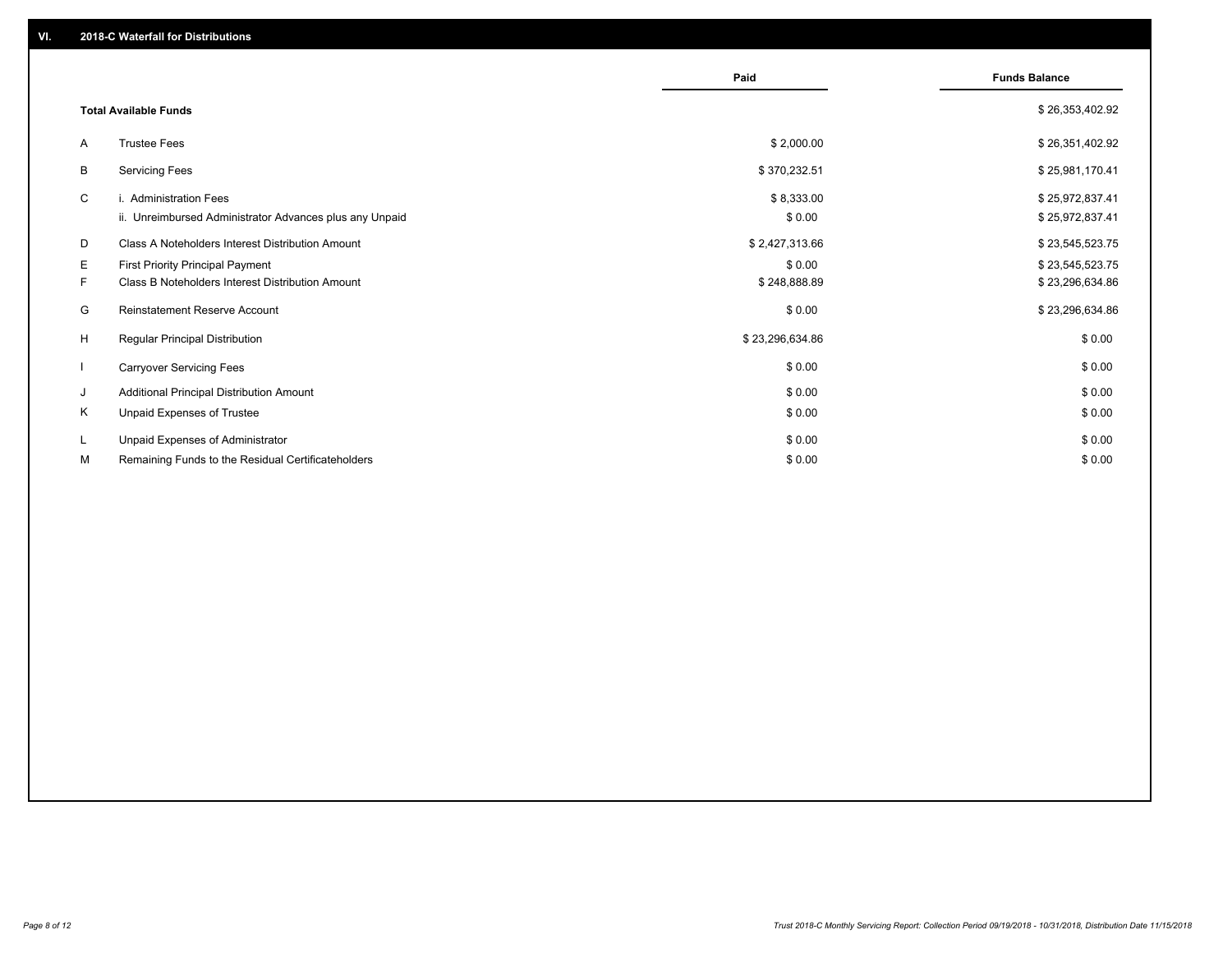|                          |                                                                                             | Paid                   | <b>Funds Balance</b>               |
|--------------------------|---------------------------------------------------------------------------------------------|------------------------|------------------------------------|
|                          | <b>Total Available Funds</b>                                                                |                        | \$26,353,402.92                    |
| A                        | <b>Trustee Fees</b>                                                                         | \$2,000.00             | \$26,351,402.92                    |
| В                        | <b>Servicing Fees</b>                                                                       | \$370,232.51           | \$25,981,170.41                    |
| C                        | i. Administration Fees<br>ii. Unreimbursed Administrator Advances plus any Unpaid           | \$8,333.00<br>\$0.00   | \$25,972,837.41<br>\$25,972,837.41 |
| D                        | Class A Noteholders Interest Distribution Amount                                            | \$2,427,313.66         | \$23,545,523.75                    |
| E.<br>F.                 | <b>First Priority Principal Payment</b><br>Class B Noteholders Interest Distribution Amount | \$0.00<br>\$248,888.89 | \$23,545,523.75<br>\$23,296,634.86 |
| G                        | <b>Reinstatement Reserve Account</b>                                                        | \$0.00                 | \$23,296,634.86                    |
| H                        | <b>Regular Principal Distribution</b>                                                       | \$23,296,634.86        | \$0.00                             |
| $\overline{\phantom{a}}$ | <b>Carryover Servicing Fees</b>                                                             | \$0.00                 | \$0.00                             |
| J                        | Additional Principal Distribution Amount                                                    | \$0.00                 | \$0.00                             |
| Κ                        | Unpaid Expenses of Trustee                                                                  | \$0.00                 | \$0.00                             |
| L<br>м                   | Unpaid Expenses of Administrator<br>Remaining Funds to the Residual Certificateholders      | \$0.00<br>\$0.00       | \$0.00<br>\$0.00                   |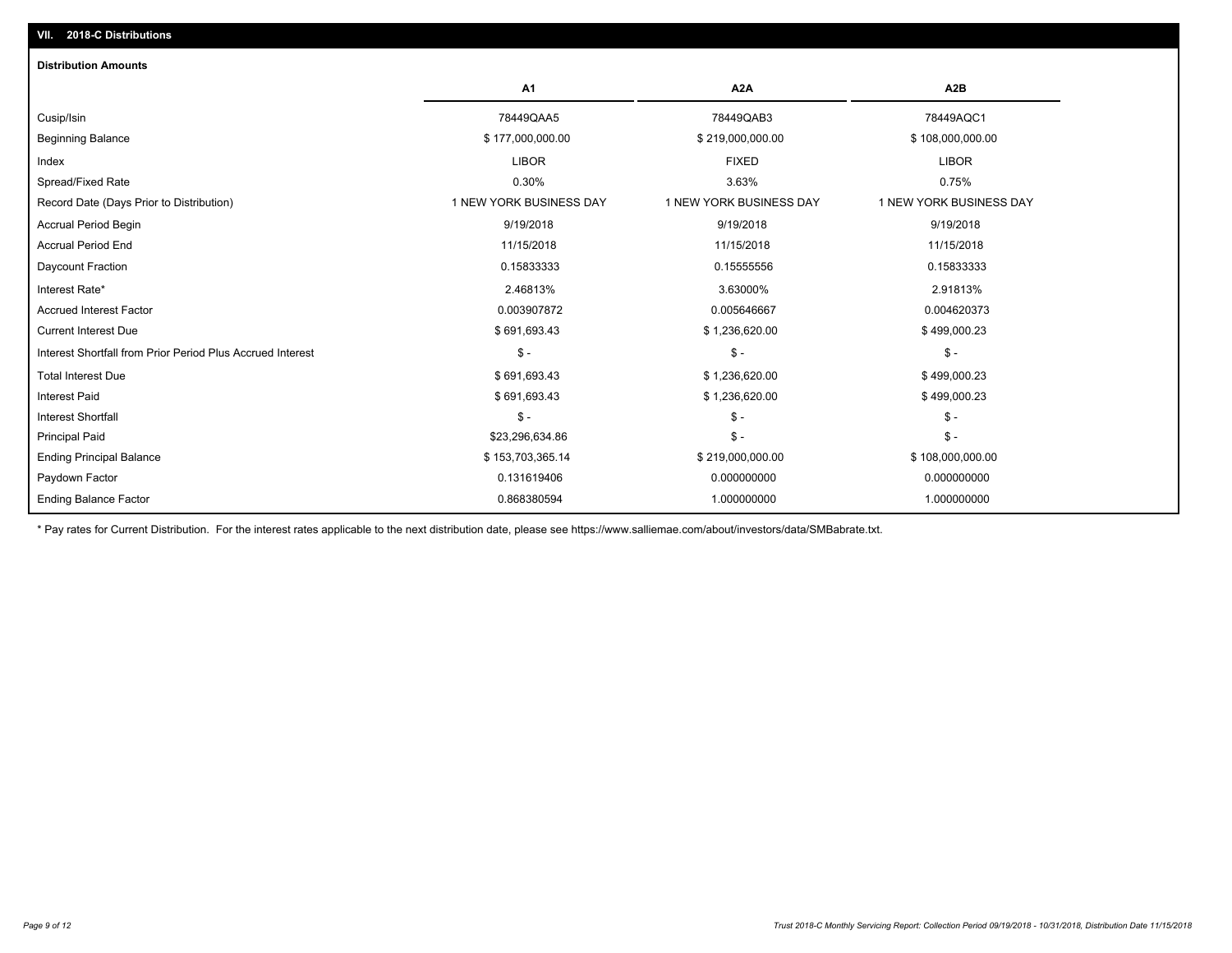| <b>Distribution Amounts</b>                                |                         |                         |                         |
|------------------------------------------------------------|-------------------------|-------------------------|-------------------------|
|                                                            | A1                      | A <sub>2</sub> A        | A <sub>2</sub> B        |
| Cusip/Isin                                                 | 78449QAA5               | 78449QAB3               | 78449AQC1               |
| <b>Beginning Balance</b>                                   | \$177,000,000.00        | \$219,000,000.00        | \$108,000,000.00        |
| Index                                                      | <b>LIBOR</b>            | <b>FIXED</b>            | <b>LIBOR</b>            |
| Spread/Fixed Rate                                          | 0.30%                   | 3.63%                   | 0.75%                   |
| Record Date (Days Prior to Distribution)                   | 1 NEW YORK BUSINESS DAY | 1 NEW YORK BUSINESS DAY | 1 NEW YORK BUSINESS DAY |
| <b>Accrual Period Begin</b>                                | 9/19/2018               | 9/19/2018               | 9/19/2018               |
| <b>Accrual Period End</b>                                  | 11/15/2018              | 11/15/2018              | 11/15/2018              |
| Daycount Fraction                                          | 0.15833333              | 0.15555556              | 0.15833333              |
| Interest Rate*                                             | 2.46813%                | 3.63000%                | 2.91813%                |
| <b>Accrued Interest Factor</b>                             | 0.003907872             | 0.005646667             | 0.004620373             |
| <b>Current Interest Due</b>                                | \$691,693.43            | \$1,236,620.00          | \$499,000.23            |
| Interest Shortfall from Prior Period Plus Accrued Interest | $\mathsf{\$}$ -         | $\mathsf{\$}$ -         | $\mathsf{\$}$ -         |
| <b>Total Interest Due</b>                                  | \$691,693.43            | \$1,236,620.00          | \$499,000.23            |
| Interest Paid                                              | \$691,693.43            | \$1,236,620.00          | \$499,000.23            |
| <b>Interest Shortfall</b>                                  | $$ -$                   | $\frac{1}{2}$           | $$ -$                   |
| <b>Principal Paid</b>                                      | \$23,296,634.86         | $\mathsf{\$}$ -         | $$ -$                   |
| <b>Ending Principal Balance</b>                            | \$153,703,365.14        | \$219,000,000.00        | \$108,000,000.00        |
| Paydown Factor                                             | 0.131619406             | 0.000000000             | 0.000000000             |
| <b>Ending Balance Factor</b>                               | 0.868380594             | 1.000000000             | 1.000000000             |

\* Pay rates for Current Distribution. For the interest rates applicable to the next distribution date, please see https://www.salliemae.com/about/investors/data/SMBabrate.txt.

**VII. 2018-C Distributions**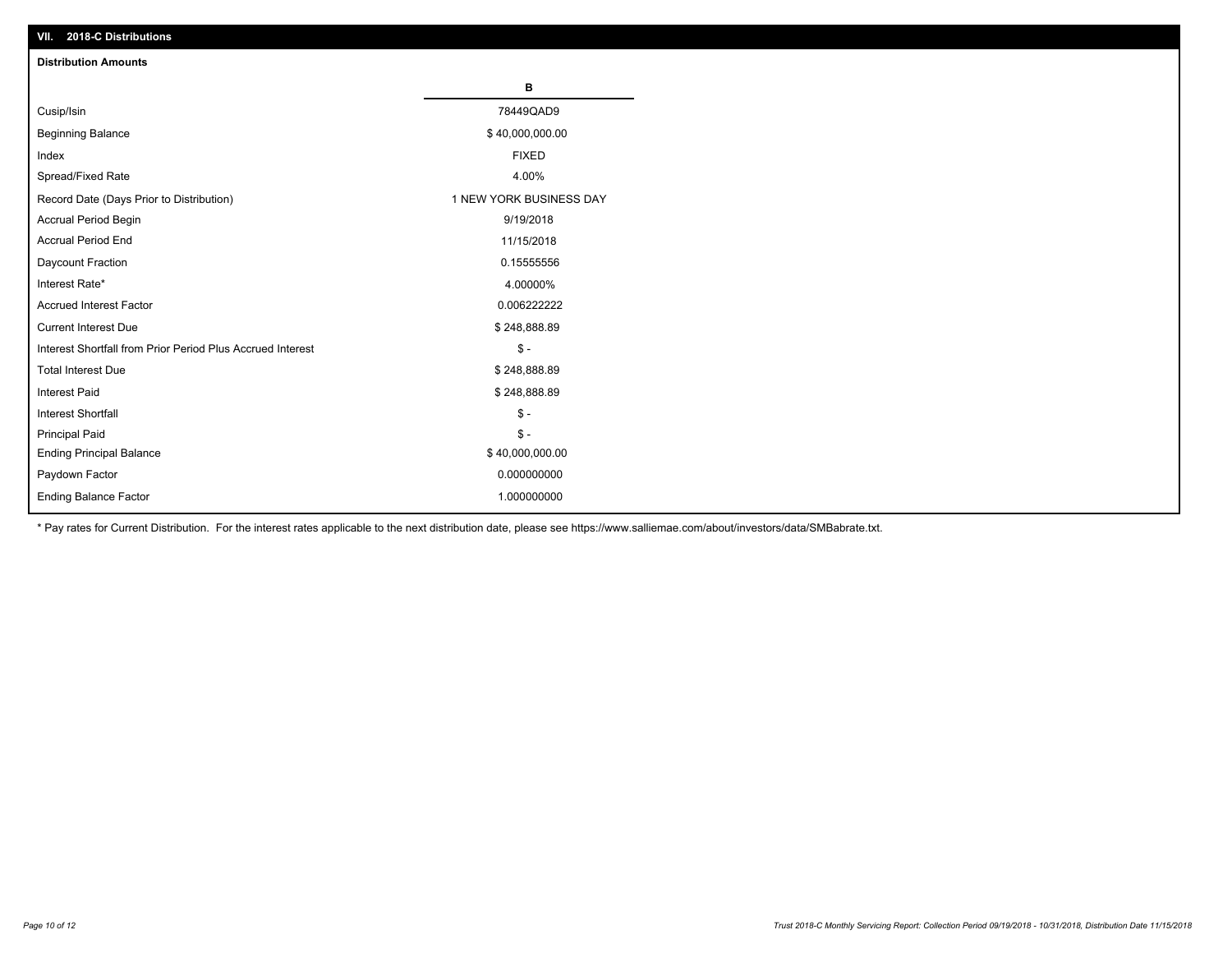| VII. 2018-C Distributions                                  |                         |
|------------------------------------------------------------|-------------------------|
| <b>Distribution Amounts</b>                                |                         |
|                                                            | в                       |
| Cusip/Isin                                                 | 78449QAD9               |
| <b>Beginning Balance</b>                                   | \$40,000,000.00         |
| Index                                                      | <b>FIXED</b>            |
| Spread/Fixed Rate                                          | 4.00%                   |
| Record Date (Days Prior to Distribution)                   | 1 NEW YORK BUSINESS DAY |
| Accrual Period Begin                                       | 9/19/2018               |
| <b>Accrual Period End</b>                                  | 11/15/2018              |
| Daycount Fraction                                          | 0.15555556              |
| Interest Rate*                                             | 4.00000%                |
| <b>Accrued Interest Factor</b>                             | 0.006222222             |
| <b>Current Interest Due</b>                                | \$248,888.89            |
| Interest Shortfall from Prior Period Plus Accrued Interest | $$ -$                   |
| <b>Total Interest Due</b>                                  | \$248,888.89            |
| Interest Paid                                              | \$248,888.89            |
| Interest Shortfall                                         | $$ -$                   |
| <b>Principal Paid</b>                                      | $$ -$                   |
| <b>Ending Principal Balance</b>                            | \$40,000,000.00         |
| Paydown Factor                                             | 0.000000000             |
| <b>Ending Balance Factor</b>                               | 1.000000000             |

\* Pay rates for Current Distribution. For the interest rates applicable to the next distribution date, please see https://www.salliemae.com/about/investors/data/SMBabrate.txt.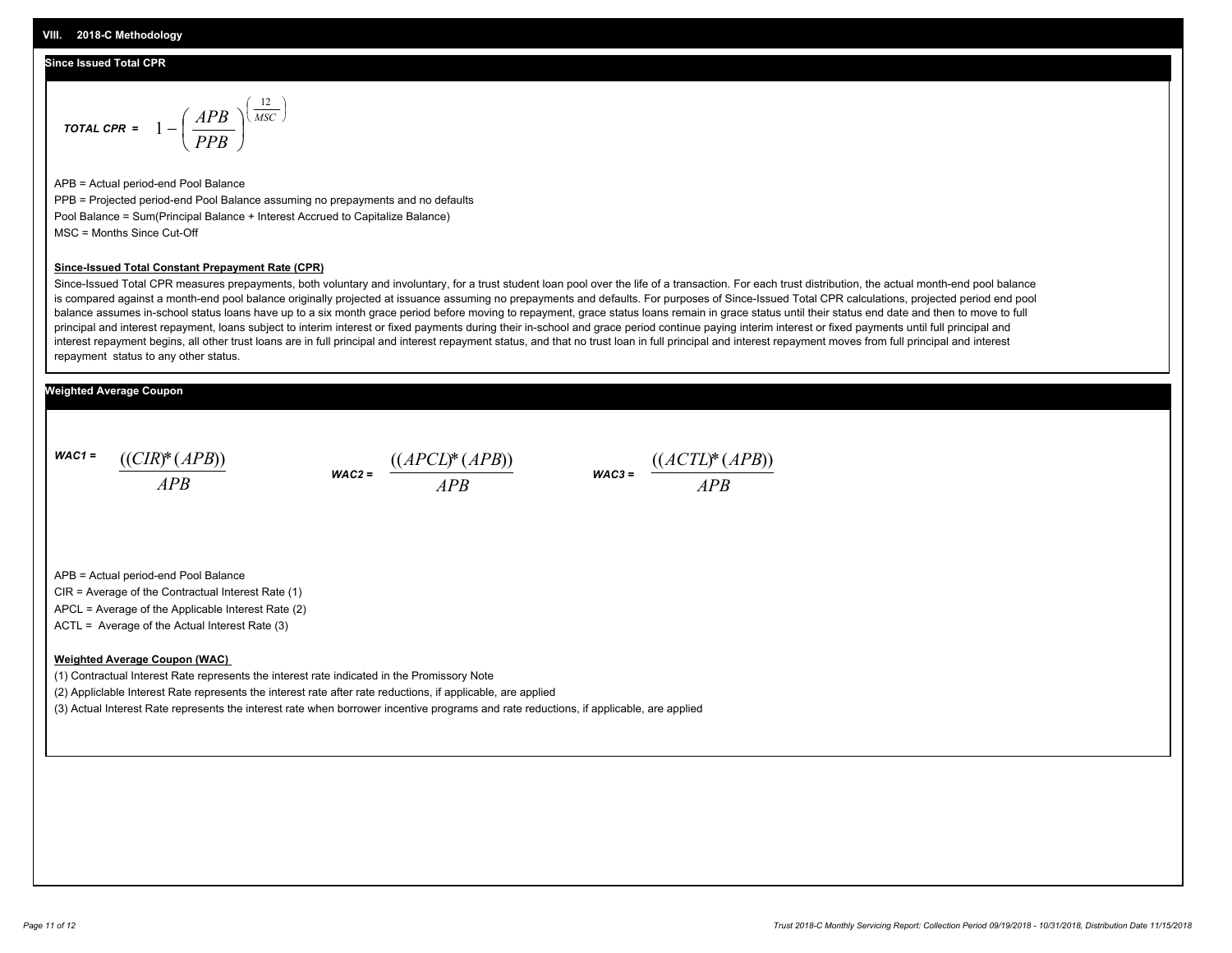#### **Since Issued Total CPR**

$$
\text{total CPR} = 1 - \left(\frac{APB}{PPB}\right)^{\left(\frac{12}{MSC}\right)}
$$

APB = Actual period-end Pool Balance PPB = Projected period-end Pool Balance assuming no prepayments and no defaults Pool Balance = Sum(Principal Balance + Interest Accrued to Capitalize Balance) MSC = Months Since Cut-Off

#### **Since-Issued Total Constant Prepayment Rate (CPR)**

Since-Issued Total CPR measures prepayments, both voluntary and involuntary, for a trust student loan pool over the life of a transaction. For each trust distribution, the actual month-end pool balance is compared against a month-end pool balance originally projected at issuance assuming no prepayments and defaults. For purposes of Since-Issued Total CPR calculations, projected period end pool balance assumes in-school status loans have up to a six month grace period before moving to repayment, grace status loans remain in grace status until their status end date and then to move to full principal and interest repayment, loans subject to interim interest or fixed payments during their in-school and grace period continue paying interim interest or fixed payments until full principal and interest repayment begins, all other trust loans are in full principal and interest repayment status, and that no trust loan in full principal and interest repayment moves from full principal and interest repayment status to any other status.

#### **Weighted Average Coupon**

*WAC1 = APB* ((*CIR*)\*(*APB*))

*WAC2 = APB*



APB = Actual period-end Pool Balance

CIR = Average of the Contractual Interest Rate (1)

APCL = Average of the Applicable Interest Rate (2)

ACTL = Average of the Actual Interest Rate (3)

#### **Weighted Average Coupon (WAC)**

(1) Contractual Interest Rate represents the interest rate indicated in the Promissory Note

(2) Appliclable Interest Rate represents the interest rate after rate reductions, if applicable, are applied

(3) Actual Interest Rate represents the interest rate when borrower incentive programs and rate reductions, if applicable, are applied